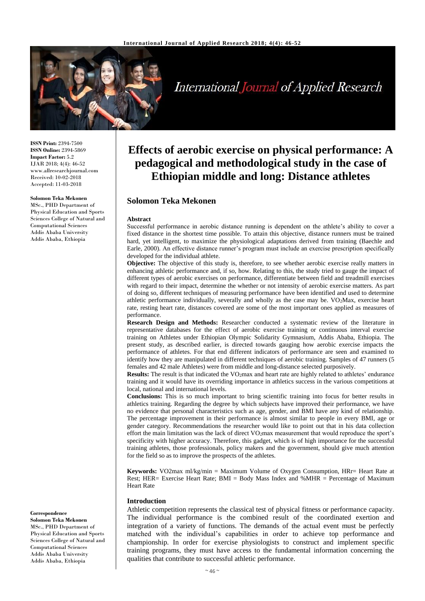

# **International Journal of Applied Research**

**ISSN Print:** 2394-7500 **ISSN Online:** 2394-5869 **Impact Factor:** 5.2 IJAR 2018; 4(4): 46-52 www.allresearchjournal.com Received: 10-02-2018 Accepted: 11-03-2018

## **Solomon Teka Mekonen**

Physical Education and Sports Sciences College of Natural and Computational Sciences Addis Ababa University Addis Ababa, Ethiopia

MSc., PHD Department of

## **Correspondence**

**Solomon Teka Mekonen** MSc., PHD Department of Physical Education and Sports Sciences College of Natural and Computational Sciences Addis Ababa University Addis Ababa, Ethiopia

## **Effects of aerobic exercise on physical performance: A pedagogical and methodological study in the case of Ethiopian middle and long: Distance athletes**

## **Solomon Teka Mekonen**

#### **Abstract**

Successful performance in aerobic distance running is dependent on the athlete's ability to cover a fixed distance in the shortest time possible. To attain this objective, distance runners must be trained hard, yet intelligent, to maximize the physiological adaptations derived from training (Baechle and Earle, 2000). An effective distance runner's program must include an exercise prescription specifically developed for the individual athlete.

**Objective:** The objective of this study is, therefore, to see whether aerobic exercise really matters in enhancing athletic performance and, if so, how. Relating to this, the study tried to gauge the impact of different types of aerobic exercises on performance, differentiate between field and treadmill exercises with regard to their impact, determine the whether or not intensity of aerobic exercise matters. As part of doing so, different techniques of measuring performance have been identified and used to determine athletic performance individually, severally and wholly as the case may be. VO2Max, exercise heart rate, resting heart rate, distances covered are some of the most important ones applied as measures of performance.

**Research Design and Methods:** Researcher conducted a systematic review of the literature in representative databases for the effect of aerobic exercise training or continuous interval exercise training on Athletes under Ethiopian Olympic Solidarity Gymnasium, Addis Ababa, Ethiopia. The present study, as described earlier, is directed towards gauging how aerobic exercise impacts the performance of athletes. For that end different indicators of performance are seen and examined to identify how they are manipulated in different techniques of aerobic training. Samples of 47 runners (5 females and 42 male Athletes) were from middle and long-distance selected purposively.

**Results:** The result is that indicated the VO<sub>2</sub>max and heart rate are highly related to athletes' endurance training and it would have its overriding importance in athletics success in the various competitions at local, national and international levels.

**Conclusions:** This is so much important to bring scientific training into focus for better results in athletics training. Regarding the degree by which subjects have improved their performance, we have no evidence that personal characteristics such as age, gender, and BMI have any kind of relationship. The percentage improvement in their performance is almost similar to people in every BMI, age or gender category. Recommendations the researcher would like to point out that in his data collection effort the main limitation was the lack of direct VO<sub>2</sub>max measurement that would reproduce the sport's specificity with higher accuracy. Therefore, this gadget, which is of high importance for the successful training athletes, those professionals, policy makers and the government, should give much attention for the field so as to improve the prospects of the athletes*.*

**Keywords:** VO2max ml/kg/min = Maximum Volume of Oxygen Consumption, HRr= Heart Rate at Rest; HER= Exercise Heart Rate; BMI = Body Mass Index and %MHR = Percentage of Maximum Heart Rate

#### **Introduction**

Athletic competition represents the classical test of physical fitness or performance capacity. The individual performance is the combined result of the coordinated exertion and integration of a variety of functions. The demands of the actual event must be perfectly matched with the individual's capabilities in order to achieve top performance and championship. In order for exercise physiologists to construct and implement specific training programs, they must have access to the fundamental information concerning the qualities that contribute to successful athletic performance.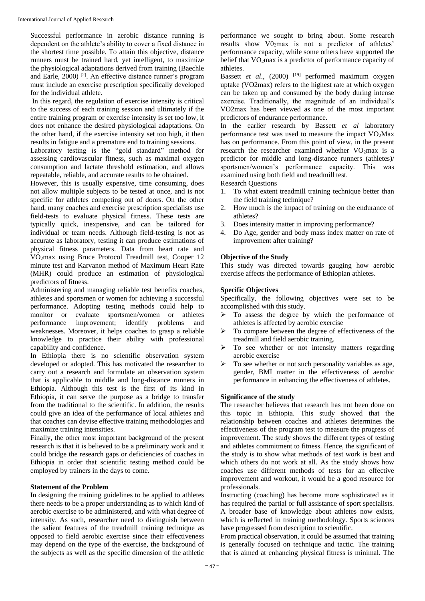Successful performance in aerobic distance running is dependent on the athlete's ability to cover a fixed distance in the shortest time possible. To attain this objective, distance runners must be trained hard, yet intelligent, to maximize the physiological adaptations derived from training (Baechle and Earle, 2000)<sup>[2]</sup>. An effective distance runner's program must include an exercise prescription specifically developed for the individual athlete.

In this regard, the regulation of exercise intensity is critical to the success of each training session and ultimately if the entire training program or exercise intensity is set too low, it does not enhance the desired physiological adaptations. On the other hand, if the exercise intensity set too high, it then results in fatigue and a premature end to training sessions.

Laboratory testing is the "gold standard" method for assessing cardiovascular fitness, such as maximal oxygen consumption and lactate threshold estimation, and allows repeatable, reliable, and accurate results to be obtained.

However, this is usually expensive, time consuming, does not allow multiple subjects to be tested at once, and is not specific for athletes competing out of doors. On the other hand, many coaches and exercise prescription specialists use field-tests to evaluate physical fitness. These tests are typically quick, inexpensive, and can be tailored for individual or team needs. Although field-testing is not as accurate as laboratory, testing it can produce estimations of physical fitness parameters. Data from heart rate and VO2max using Bruce Protocol Treadmill test, Cooper 12 minute test and Karvanon method of Maximum Heart Rate (MHR) could produce an estimation of physiological predictors of fitness.

Administering and managing reliable test benefits coaches, athletes and sportsmen or women for achieving a successful performance. Adopting testing methods could help to monitor or evaluate sportsmen/women or athletes performance improvement; identify problems and weaknesses. Moreover, it helps coaches to grasp a reliable knowledge to practice their ability with professional capability and confidence.

In Ethiopia there is no scientific observation system developed or adopted. This has motivated the researcher to carry out a research and formulate an observation system that is applicable to middle and long-distance runners in Ethiopia. Although this test is the first of its kind in Ethiopia, it can serve the purpose as a bridge to transfer from the traditional to the scientific. In addition, the results could give an idea of the performance of local athletes and that coaches can devise effective training methodologies and maximize training intensities.

Finally, the other most important background of the present research is that it is believed to be a preliminary work and it could bridge the research gaps or deficiencies of coaches in Ethiopia in order that scientific testing method could be employed by trainers in the days to come.

#### **Statement of the Problem**

In designing the training guidelines to be applied to athletes there needs to be a proper understanding as to which kind of aerobic exercise to be administered, and with what degree of intensity. As such, researcher need to distinguish between the salient features of the treadmill training technique as opposed to field aerobic exercise since their effectiveness may depend on the type of the exercise, the background of the subjects as well as the specific dimension of the athletic

performance we sought to bring about. Some research results show  $VO<sub>2</sub>max$  is not a predictor of athletes' performance capacity, while some others have supported the belief that VO<sub>2</sub>max is a predictor of performance capacity of athletes.

Bassett *et al.*, (2000)<sup>[19]</sup> performed maximum oxygen uptake (VO2max) refers to the highest rate at which oxygen can be taken up and consumed by the body during intense exercise. Traditionally, the magnitude of an individual's VO2max has been viewed as one of the most important predictors of endurance performance.

In the earlier research by Bassett *et al* laboratory performance test was used to measure the impact  $VO<sub>2</sub>Max$ has on performance. From this point of view, in the present research the researcher examined whether  $VO<sub>2</sub>max$  is a predictor for middle and long-distance runners (athletes)/ sportsmen/women's performance capacity. This was examined using both field and treadmill test.

Research Questions

- 1. To what extent treadmill training technique better than the field training technique?
- 2. How much is the impact of training on the endurance of athletes?
- 3. Does intensity matter in improving performance?
- 4. Do Age, gender and body mass index matter on rate of improvement after training?

## **Objective of the Study**

This study was directed toward*s* gauging how aerobic exercise affects the performance of Ethiopian athletes.

## **Specific Objectives**

Specifically, the following objectives were set to be accomplished with this study.

- $\triangleright$  To assess the degree by which the performance of athletes is affected by aerobic exercise
- $\triangleright$  To compare between the degree of effectiveness of the treadmill and field aerobic training.
- To see whether or not intensity matters regarding aerobic exercise
- To see whether or not such personality variables as age, gender, BMI matter in the effectiveness of aerobic performance in enhancing the effectiveness of athletes.

#### **Significance of the study**

The researcher believes that research has not been done on this topic in Ethiopia. This study showed that the relationship between coaches and athletes determines the effectiveness of the program test to measure the progress of improvement. The study shows the different types of testing and athletes commitment to fitness. Hence, the significant of the study is to show what methods of test work is best and which others do not work at all. As the study shows how coaches use different methods of tests for an effective improvement and workout, it would be a good resource for professionals.

Instructing (coaching) has become more sophisticated as it has required the partial or full assistance of sport specialists. A broader base of knowledge about athletes now exists, which is reflected in training methodology. Sports sciences have progressed from description to scientific.

From practical observation, it could be assumed that training is generally focused on technique and tactic. The training that is aimed at enhancing physical fitness is minimal. The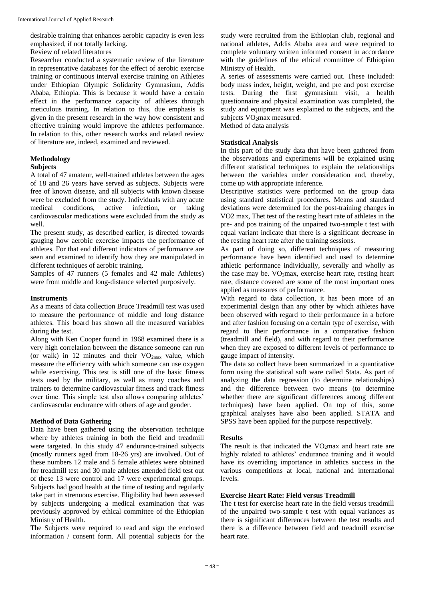desirable training that enhances aerobic capacity is even less emphasized, if not totally lacking.

Review of related literatures

Researcher conducted a systematic review of the literature in representative databases for the effect of aerobic exercise training or continuous interval exercise training on Athletes under Ethiopian Olympic Solidarity Gymnasium, Addis Ababa, Ethiopia. This is because it would have a certain effect in the performance capacity of athletes through meticulous training. In relation to this, due emphasis is given in the present research in the way how consistent and effective training would improve the athletes performance. In relation to this, other research works and related review of literature are, indeed, examined and reviewed.

#### **Methodology Subjects**

A total of 47 amateur, well-trained athletes between the ages of 18 and 26 years have served as subjects. Subjects were free of known disease, and all subjects with known disease were be excluded from the study. Individuals with any acute medical conditions, active infection, or taking cardiovascular medications were excluded from the study as well.

The present study, as described earlier, is directed towards gauging how aerobic exercise impacts the performance of athletes. For that end different indicators of performance are seen and examined to identify how they are manipulated in different techniques of aerobic training.

Samples of 47 runners (5 females and 42 male Athletes) were from middle and long-distance selected purposively.

#### **Instruments**

As a means of data collection Bruce Treadmill test was used to measure the performance of middle and long distance athletes. This board has shown all the measured variables during the test.

Along with Ken Cooper found in 1968 examined there is a very high correlation between the distance someone can run (or walk) in 12 minutes and their  $VO_{2max}$  value, which measure the efficiency with which someone can use oxygen while exercising. This test is still one of the basic fitness tests used by the military, as well as many coaches and trainers to determine cardiovascular fitness and track fitness over time. This simple test also allows comparing athletes' cardiovascular endurance with others of age and gender.

#### **Method of Data Gathering**

Data have been gathered using the observation technique where by athletes training in both the field and treadmill were targeted. In this study 47 endurance-trained subjects (mostly runners aged from 18-26 yrs) are involved. Out of these numbers 12 male and 5 female athletes were obtained for treadmill test and 30 male athletes attended field test out of these 13 were control and 17 were experimental groups. Subjects had good health at the time of testing and regularly take part in strenuous exercise. Eligibility had been assessed by subjects undergoing a medical examination that was previously approved by ethical committee of the Ethiopian Ministry of Health.

The Subjects were required to read and sign the enclosed information / consent form. All potential subjects for the

study were recruited from the Ethiopian club, regional and national athletes, Addis Ababa area and were required to complete voluntary written informed consent in accordance with the guidelines of the ethical committee of Ethiopian Ministry of Health.

A series of assessments were carried out. These included: body mass index, height, weight, and pre and post exercise tests. During the first gymnasium visit, a health questionnaire and physical examination was completed, the study and equipment was explained to the subjects, and the subjects VO<sub>2</sub>max measured.

Method of data analysis

#### **Statistical Analysis**

In this part of the study data that have been gathered from the observations and experiments will be explained using different statistical techniques to explain the relationships between the variables under consideration and, thereby, come up with appropriate inference.

Descriptive statistics were performed on the group data using standard statistical procedures. Means and standard deviations were determined for the post-training changes in VO2 max, Thet test of the resting heart rate of athletes in the pre- and pos training of the unpaired two-sample t test with equal variant indicate that there is a significant decrease in the resting heart rate after the training sessions.

As part of doing so, different techniques of measuring performance have been identified and used to determine athletic performance individually, severally and wholly as the case may be. VO<sub>2</sub>max, exercise heart rate, resting heart rate, distance covered are some of the most important ones applied as measures of performance.

With regard to data collection, it has been more of an experimental design than any other by which athletes have been observed with regard to their performance in a before and after fashion focusing on a certain type of exercise, with regard to their performance in a comparative fashion (treadmill and field), and with regard to their performance when they are exposed to different levels of performance to gauge impact of intensity.

The data so collect have been summarized in a quantitative form using the statistical soft ware called Stata. As part of analyzing the data regression (to determine relationships) and the difference between two means (to determine whether there are significant differences among different techniques) have been applied. On top of this, some graphical analyses have also been applied. STATA and SPSS have been applied for the purpose respectively.

#### **Results**

The result is that indicated the VO2max and heart rate are highly related to athletes' endurance training and it would have its overriding importance in athletics success in the various competitions at local, national and international levels.

## **Exercise Heart Rate: Field versus Treadmill**

The t test for exercise heart rate in the field versus treadmill of the unpaired two-sample t test with equal variances as there is significant differences between the test results and there is a difference between field and treadmill exercise heart rate.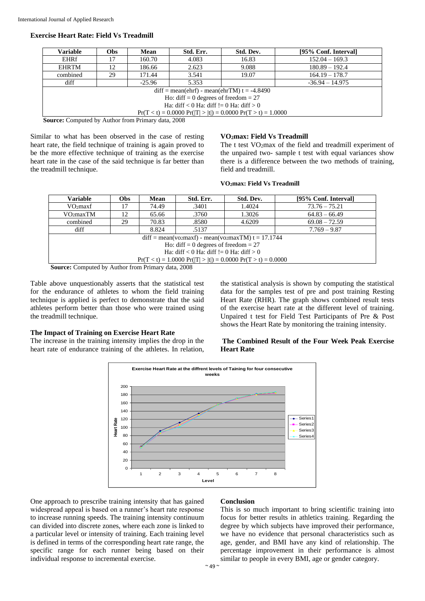## **Exercise Heart Rate: Field Vs Treadmill**

| Obs-                                                           | <b>Mean</b> | Std. Err. | Std. Dev. | [95% Conf. Interval] |  |  |  |
|----------------------------------------------------------------|-------------|-----------|-----------|----------------------|--|--|--|
|                                                                | 160.70      | 4.083     | 16.83     | $152.04 - 169.3$     |  |  |  |
| 12                                                             | 186.66      | 2.623     | 9.088     | $180.89 - 192.4$     |  |  |  |
| 29                                                             | 171.44      | 3.541     | 19.07     | $164.19 - 178.7$     |  |  |  |
|                                                                | $-25.96$    | 5.353     |           | $-36.94 - 14.975$    |  |  |  |
| $diff = mean(ehrf) - mean(ehrTM) t = -4.8490$                  |             |           |           |                      |  |  |  |
| Ho: diff = 0 degrees of freedom = $27$                         |             |           |           |                      |  |  |  |
| Ha: diff $< 0$ Ha: diff $!= 0$ Ha: diff $> 0$                  |             |           |           |                      |  |  |  |
| $Pr(T < t) = 0.0000 Pr( T  >  t ) = 0.0000 Pr(T > t) = 1.0000$ |             |           |           |                      |  |  |  |
|                                                                |             |           |           |                      |  |  |  |

**Source:** Computed by Author from Primary data, 2008

Similar to what has been observed in the case of resting heart rate, the field technique of training is again proved to be the more effective technique of training as the exercise heart rate in the case of the said technique is far better than the treadmill technique.

#### **VO2max: Field Vs Treadmill**

The t test VO<sub>2</sub>max of the field and treadmill experiment of the unpaired two- sample t test with equal variances show there is a difference between the two methods of training, field and treadmill.

#### **VO2max: Field Vs Treadmill**

| Variable                                                       | <b>Obs</b> | Mean  | Std. Err. | Std. Dev. | [95% Conf. Interval] |  |  |  |
|----------------------------------------------------------------|------------|-------|-----------|-----------|----------------------|--|--|--|
| VO <sub>2</sub> maxf                                           |            | 74.49 | .3401     | 1.4024    | $73.76 - 75.21$      |  |  |  |
| VO <sub>2</sub> maxTM                                          | 12         | 65.66 | .3760     | 1.3026    | $64.83 - 66.49$      |  |  |  |
| combined                                                       | 29         | 70.83 | .8580     | 4.6209    | $69.08 - 72.59$      |  |  |  |
| diff                                                           |            | 8.824 | .5137     |           | $7.769 - 9.87$       |  |  |  |
| $diff = mean(v_{2}maxf) - mean(v_{2}maxTM) t = 17.1744$        |            |       |           |           |                      |  |  |  |
| Ho: diff = 0 degrees of freedom = $27$                         |            |       |           |           |                      |  |  |  |
| Ha: diff $< 0$ Ha: diff $!= 0$ Ha: diff $> 0$                  |            |       |           |           |                      |  |  |  |
| $Pr(T < t) = 1.0000 Pr( T  >  t ) = 0.0000 Pr(T > t) = 0.0000$ |            |       |           |           |                      |  |  |  |
| <b>Course:</b> Computed by Author from Drimary data 2008       |            |       |           |           |                      |  |  |  |

**Source:** Computed by Author from Primary data, 2008

Table above unquestionably asserts that the statistical test for the endurance of athletes to whom the field training technique is applied is perfect to demonstrate that the said athletes perform better than those who were trained using the treadmill technique.

#### **The Impact of Training on Exercise Heart Rate**

The increase in the training intensity implies the drop in the heart rate of endurance training of the athletes. In relation,

the statistical analysis is shown by computing the statistical data for the samples test of pre and post training Resting Heart Rate (RHR). The graph shows combined result tests of the exercise heart rate at the different level of training. Unpaired t test for Field Test Participants of Pre & Post shows the Heart Rate by monitoring the training intensity.

#### **The Combined Result of the Four Week Peak Exercise Heart Rate**



One approach to prescribe training intensity that has gained widespread appeal is based on a runner's heart rate response to increase running speeds. The training intensity continuum can divided into discrete zones, where each zone is linked to a particular level or intensity of training. Each training level is defined in terms of the corresponding heart rate range, the specific range for each runner being based on their individual response to incremental exercise.

#### **Conclusion**

This is so much important to bring scientific training into focus for better results in athletics training. Regarding the degree by which subjects have improved their performance, we have no evidence that personal characteristics such as age, gender, and BMI have any kind of relationship. The percentage improvement in their performance is almost similar to people in every BMI, age or gender category.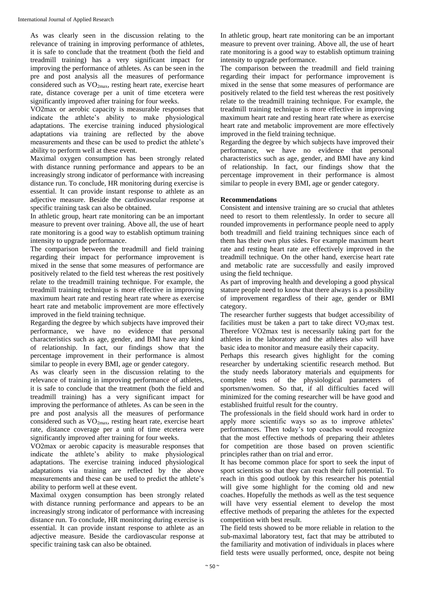As was clearly seen in the discussion relating to the relevance of training in improving performance of athletes, it is safe to conclude that the treatment (both the field and treadmill training) has a very significant impact for improving the performance of athletes. As can be seen in the pre and post analysis all the measures of performance considered such as VO2max, resting heart rate, exercise heart rate, distance coverage per a unit of time etcetera were significantly improved after training for four weeks.

VO2max or aerobic capacity is measurable responses that indicate the athlete's ability to make physiological adaptations. The exercise training induced physiological adaptations via training are reflected by the above measurements and these can be used to predict the athlete's ability to perform well at these event.

Maximal oxygen consumption has been strongly related with distance running performance and appears to be an increasingly strong indicator of performance with increasing distance run. To conclude, HR monitoring during exercise is essential. It can provide instant response to athlete as an adjective measure. Beside the cardiovascular response at specific training task can also be obtained.

In athletic group, heart rate monitoring can be an important measure to prevent over training. Above all, the use of heart rate monitoring is a good way to establish optimum training intensity to upgrade performance.

The comparison between the treadmill and field training regarding their impact for performance improvement is mixed in the sense that some measures of performance are positively related to the field test whereas the rest positively relate to the treadmill training technique. For example, the treadmill training technique is more effective in improving maximum heart rate and resting heart rate where as exercise heart rate and metabolic improvement are more effectively improved in the field training technique.

Regarding the degree by which subjects have improved their performance, we have no evidence that personal characteristics such as age, gender, and BMI have any kind of relationship. In fact, our findings show that the percentage improvement in their performance is almost similar to people in every BMI, age or gender category.

As was clearly seen in the discussion relating to the relevance of training in improving performance of athletes, it is safe to conclude that the treatment (both the field and treadmill training) has a very significant impact for improving the performance of athletes. As can be seen in the pre and post analysis all the measures of performance considered such as VO2max, resting heart rate, exercise heart rate, distance coverage per a unit of time etcetera were significantly improved after training for four weeks.

VO2max or aerobic capacity is measurable responses that indicate the athlete's ability to make physiological adaptations. The exercise training induced physiological adaptations via training are reflected by the above measurements and these can be used to predict the athlete's ability to perform well at these event.

Maximal oxygen consumption has been strongly related with distance running performance and appears to be an increasingly strong indicator of performance with increasing distance run. To conclude, HR monitoring during exercise is essential. It can provide instant response to athlete as an adjective measure. Beside the cardiovascular response at specific training task can also be obtained.

In athletic group, heart rate monitoring can be an important measure to prevent over training. Above all, the use of heart rate monitoring is a good way to establish optimum training intensity to upgrade performance.

The comparison between the treadmill and field training regarding their impact for performance improvement is mixed in the sense that some measures of performance are positively related to the field test whereas the rest positively relate to the treadmill training technique. For example, the treadmill training technique is more effective in improving maximum heart rate and resting heart rate where as exercise heart rate and metabolic improvement are more effectively improved in the field training technique.

Regarding the degree by which subjects have improved their performance, we have no evidence that personal characteristics such as age, gender, and BMI have any kind of relationship. In fact, our findings show that the percentage improvement in their performance is almost similar to people in every BMI, age or gender category.

## **Recommendations**

Consistent and intensive training are so crucial that athletes need to resort to them relentlessly. In order to secure all rounded improvements in performance people need to apply both treadmill and field training techniques since each of them has their own plus sides. For example maximum heart rate and resting heart rate are effectively improved in the treadmill technique. On the other hand, exercise heart rate and metabolic rate are successfully and easily improved using the field technique.

As part of improving health and developing a good physical stature people need to know that there always is a possibility of improvement regardless of their age, gender or BMI category.

The researcher further suggests that budget accessibility of facilities must be taken a part to take direct  $VO<sub>2</sub>$ max test. Therefore VO2max test is necessarily taking part for the athletes in the laboratory and the athletes also will have basic idea to monitor and measure easily their capacity.

Perhaps this research gives highlight for the coming researcher by undertaking scientific research method. But the study needs laboratory materials and equipments for complete tests of the physiological parameters of sportsmen/women. So that, if all difficulties faced will minimized for the coming researcher will be have good and established fruitful result for the country.

The professionals in the field should work hard in order to apply more scientific ways so as to improve athletes' performances. Then today's top coaches would recognize that the most effective methods of preparing their athletes for competition are those based on proven scientific principles rather than on trial and error.

It has become common place for sport to seek the input of sport scientists so that they can reach their full potential. To reach in this good outlook by this researcher his potential will give some highlight for the coming old and new coaches. Hopefully the methods as well as the test sequence will have very essential element to develop the most effective methods of preparing the athletes for the expected competition with best result.

The field tests showed to be more reliable in relation to the sub-maximal laboratory test, fact that may be attributed to the familiarity and motivation of individuals in places where field tests were usually performed, once, despite not being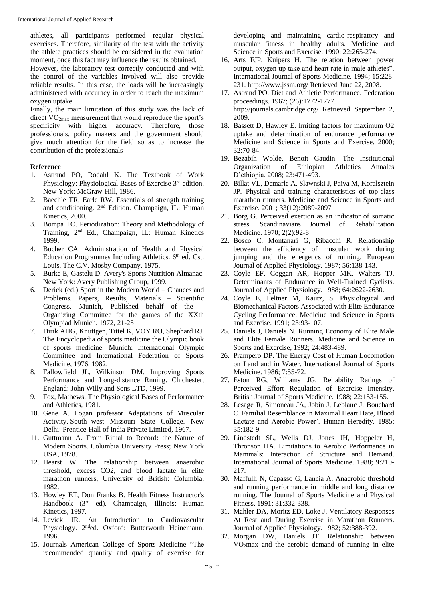athletes, all participants performed regular physical exercises. Therefore, similarity of the test with the activity the athlete practices should be considered in the evaluation moment, once this fact may influence the results obtained.

However, the laboratory test correctly conducted and with the control of the variables involved will also provide reliable results. In this case, the loads will be increasingly administered with accuracy in order to reach the maximum oxygen uptake.

Finally, the main limitation of this study was the lack of direct  $VO<sub>2max</sub>$  measurement that would reproduce the sport's specificity with higher accuracy. Therefore, those professionals, policy makers and the government should give much attention for the field so as to increase the contribution of the professionals

#### **Reference**

- 1. Astrand PO, Rodahl K. The Textbook of Work Physiology: Physiological Bases of Exercise 3<sup>rd</sup> edition. New York: McGraw-Hill, 1986.
- 2. Baechle TR, Earle RW. Essentials of strength training and conditioning. 2nd Edition. Champaign, IL: Human Kinetics, 2000.
- 3. Bompa TO. Periodization: Theory and Methodology of Training, 2nd Ed., Champaign, IL: Human Kinetics 1999.
- 4. Bucher CA. Administration of Health and Physical Education Programmes Including Athletics.  $6<sup>th</sup>$  ed. Cst. Louis. The C.V. Mosby Company, 1975.
- 5. Burke E, Gastelu D. Avery's Sports Nutrition Almanac. New York: Avery Publishing Group, 1999.
- 6. Derick (ed.) Sport in the Modern World Chances and Problems. Papers, Results, Materials – Scientific Congress. Munich, Published behalf of the – Organizing Committee for the games of the XXth Olympiad Munich. 1972, 21-25
- 7. Dirik AHG, Knuttgen, Tittel K, VOY RO, Shephard RJ. The Encyclopedia of sports medicine the Olympic book of sports medicine. Munich: International Olympic Committee and International Federation of Sports Medicine, 1976, 1982.
- 8. Fallowfield JL, Wilkinson DM. Improving Sports Performance and Long-distance Rnning. Chichester, England: John Willy and Sons LTD, 1999.
- 9. Fox, Mathews. The Physiological Bases of Performance and Athletics, 1981.
- 10. Gene A. Logan professor Adaptations of Muscular Activity. South west Missouri State College. New Delhi: Prentice-Hall of India Private Limited, 1967.
- 11. Guttmann A. From Ritual to Record: the Nature of Modern Sports. Columbia University Press; New York USA, 1978.
- 12. Hearst W. The relationship between anaerobic threshold, excess CO2, and blood lactate in elite marathon runners, University of British: Columbia, 1982.
- 13. Howley ET, Don Franks B. Health Fitness Instructor's Handbook (3rd ed). Champaign, Illinois: Human Kinetics, 1997.
- 14. Levick JR. An Introduction to Cardiovascular Physiology. 2<sup>nd</sup>ed. Oxford: Butterworth Heinemann, 1996.
- 15. Journals American College of Sports Medicine "The recommended quantity and quality of exercise for

developing and maintaining cardio-respiratory and muscular fitness in healthy adults. Medicine and Science in Sports and Exercise. 1990; 22:265-274.

- 16. Arts FJP, Kuipers H. The relation between power output, oxygen up take and heart rate in male athletes". International Journal of Sports Medicine. 1994; 15:228- 231. http://www.jssm.org/ Retrieved June 22, 2008.
- 17. Astrand PO. Diet and Athletic Performance. Federation proceedings. 1967; (26):1772-1777. http://journals.cambridge.org/ Retrieved September 2, 2009.
- 18. Bassett D, Hawley E. Imiting factors for maximum O2 uptake and determination of endurance performance Medicine and Science in Sports and Exercise. 2000; 32:70-84.
- 19. Bezabih Wolde, Benoit Gaudin. The Institutional Organization of Ethiopian Athletics Annales D'ethiopia. 2008; 23:471-493.
- 20. Billat VL, Demarle A, Slawnski J, Paiva M, Koralsztein JP. Physical and training characteristics of top-class marathon runners. Medicine and Science in Sports and Exercise. 2001; 33(12):2089-2097
- 21. Borg G. Perceived exertion as an indicator of somatic stress. Scandinavians Journal of Rehabilitation Medicine. 1970; 2(2):92-8
- 22. Bosco C, Montanari G, Ribacchi R. Relationship between the efficiency of muscular work during jumping and the energetics of running. European Journal of Applied Physiology. 1987; 56:138-143.
- 23. Coyle EF, Coggan AR, Hopper MK, Walters TJ. Determinants of Endurance in Well-Trained Cyclists. Journal of Applied Physiology. 1988; 64:2622-2630.
- 24. Coyle E, Feltner M, Kautz, S. Physiological and Biomechanical Factors Associated with Elite Endurance Cycling Performance. Medicine and Science in Sports and Exercise. 1991; 23:93-107.
- 25. Daniels J, Daniels N. Running Economy of Elite Male and Elite Female Runners. Medicine and Science in Sports and Exercise, 1992; 24:483-489.
- 26. Prampero DP. The Energy Cost of Human Locomotion on Land and in Water. International Journal of Sports Medicine. 1986; 7:55-72.
- 27. Eston RG, Williams JG. Reliability Ratings of Perceived Effort Regulation of Exercise Intensity. British Journal of Sports Medicine. 1988; 22:153-155.
- 28. Lesage R, Simoneau JA, Jobin J, Leblanc J, Bouchard C. Familial Resemblance in Maximal Heart Hate, Blood Lactate and Aerobic Power'. Human Heredity. 1985; 35:182-9.
- 29. Lindstedt SL, Wells DJ, Jones JH, Hoppeler H, Thronson HA. Limitations to Aerobic Performance in Mammals: Interaction of Structure and Demand. International Journal of Sports Medicine. 1988; 9:210- 217.
- 30. Maffulli N, Capasso G, Lancia A. Anaerobic threshold and running performance in middle and long distance running. The Journal of Sports Medicine and Physical Fitness, 1991; 31:332-338.
- 31. Mahler DA, Moritz ED, Loke J. Ventilatory Responses At Rest and During Exercise in Marathon Runners. Journal of Applied Physiology. 1982; 52:388-392.
- 32. Morgan DW, Daniels JT. Relationship between VO2max and the aerobic demand of running in elite